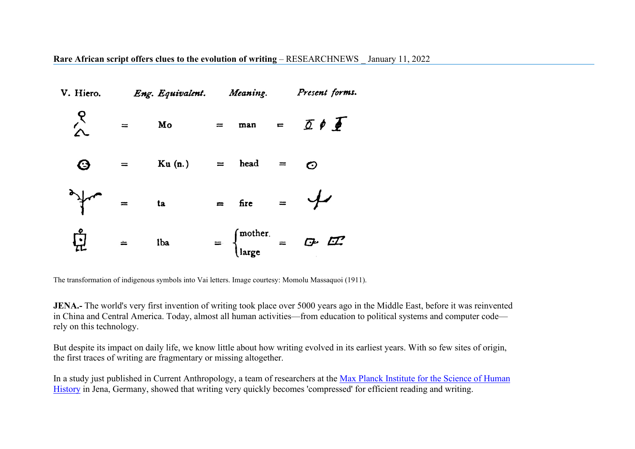**Rare African script offers clues to the evolution of writing** – RESEARCHNEWS \_ January 11, 2022



The transformation of indigenous symbols into Vai letters. Image courtesy: Momolu Massaquoi (1911).

**JENA.-** The world's very first invention of writing took place over 5000 years ago in the Middle East, before it was reinvented in China and Central America. Today, almost all human activities—from education to political systems and computer code rely on this technology.

But despite its impact on daily life, we know little about how writing evolved in its earliest years. With so few sites of origin, the first traces of writing are fragmentary or missing altogether.

In a study just published in Current Anthropology, a team of researchers at the Max Planck Institute for the Science of Human [History](https://www.shh.mpg.de/en) in Jena, Germany, showed that writing very quickly becomes 'compressed' for efficient reading and writing.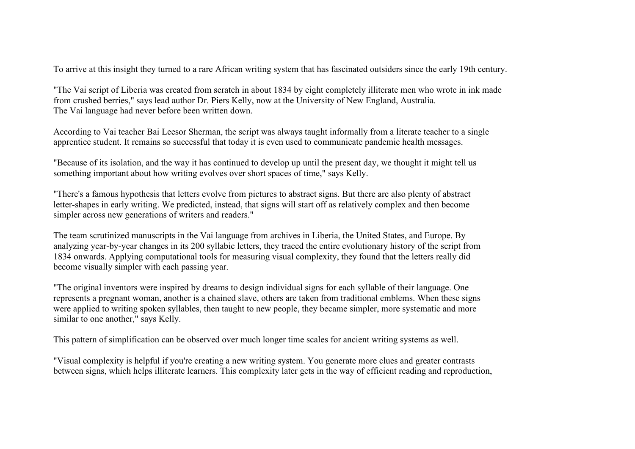To arrive at this insight they turned to a rare African writing system that has fascinated outsiders since the early 19th century.

"The Vai script of Liberia was created from scratch in about 1834 by eight completely illiterate men who wrote in ink made from crushed berries," says lead author Dr. Piers Kelly, now at the University of New England, Australia. The Vai language had never before been written down.

According to Vai teacher Bai Leesor Sherman, the script was always taught informally from a literate teacher to a single apprentice student. It remains so successful that today it is even used to communicate pandemic health messages.

"Because of its isolation, and the way it has continued to develop up until the present day, we thought it might tell us something important about how writing evolves over short spaces of time," says Kelly.

"There's a famous hypothesis that letters evolve from pictures to abstract signs. But there are also plenty of abstract letter-shapes in early writing. We predicted, instead, that signs will start off as relatively complex and then become simpler across new generations of writers and readers."

The team scrutinized manuscripts in the Vai language from archives in Liberia, the United States, and Europe. By analyzing year-by-year changes in its 200 syllabic letters, they traced the entire evolutionary history of the script from 1834 onwards. Applying computational tools for measuring visual complexity, they found that the letters really did become visually simpler with each passing year.

"The original inventors were inspired by dreams to design individual signs for each syllable of their language. One represents a pregnant woman, another is a chained slave, others are taken from traditional emblems. When these signs were applied to writing spoken syllables, then taught to new people, they became simpler, more systematic and more similar to one another," says Kelly.

This pattern of simplification can be observed over much longer time scales for ancient writing systems as well.

"Visual complexity is helpful if you're creating a new writing system. You generate more clues and greater contrasts between signs, which helps illiterate learners. This complexity later gets in the way of efficient reading and reproduction,